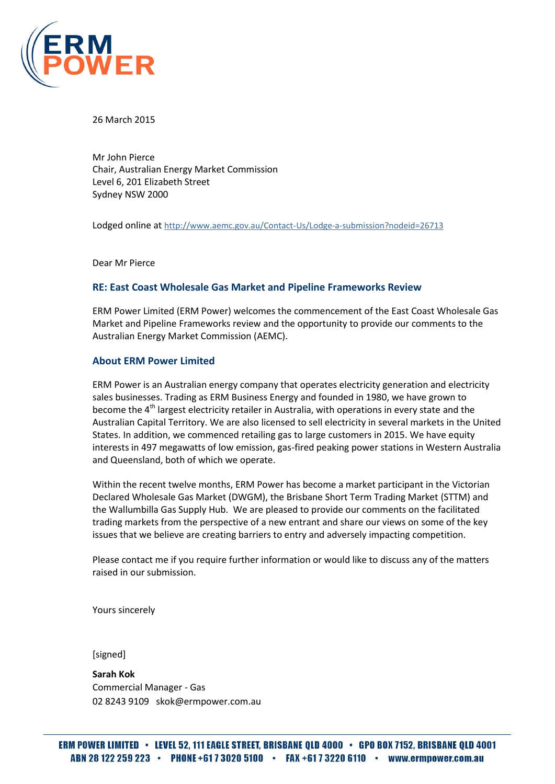

26 March 2015

Mr John Pierce Chair, Australian Energy Market Commission Level 6, 201 Elizabeth Street Sydney NSW 2000

Lodged online at <http://www.aemc.gov.au/Contact-Us/Lodge-a-submission?nodeid=26713>

Dear Mr Pierce

#### **RE: East Coast Wholesale Gas Market and Pipeline Frameworks Review**

ERM Power Limited (ERM Power) welcomes the commencement of the East Coast Wholesale Gas Market and Pipeline Frameworks review and the opportunity to provide our comments to the Australian Energy Market Commission (AEMC).

#### **About ERM Power Limited**

ERM Power is an Australian energy company that operates electricity generation and electricity sales businesses. Trading as ERM Business Energy and founded in 1980, we have grown to become the 4<sup>th</sup> largest electricity retailer in Australia, with operations in every state and the Australian Capital Territory. We are also licensed to sell electricity in several markets in the United States. In addition, we commenced retailing gas to large customers in 2015. We have equity interests in 497 megawatts of low emission, gas-fired peaking power stations in Western Australia and Queensland, both of which we operate.

Within the recent twelve months, ERM Power has become a market participant in the Victorian Declared Wholesale Gas Market (DWGM), the Brisbane Short Term Trading Market (STTM) and the Wallumbilla Gas Supply Hub. We are pleased to provide our comments on the facilitated trading markets from the perspective of a new entrant and share our views on some of the key issues that we believe are creating barriers to entry and adversely impacting competition.

Please contact me if you require further information or would like to discuss any of the matters raised in our submission.

Yours sincerely

[signed]

**Sarah Kok** Commercial Manager - Gas 02 8243 9109 skok@ermpower.com.au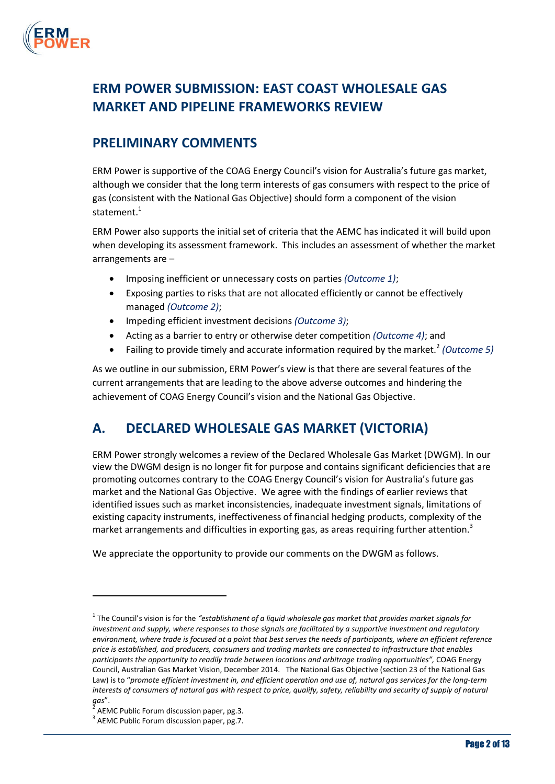

## **ERM POWER SUBMISSION: EAST COAST WHOLESALE GAS MARKET AND PIPELINE FRAMEWORKS REVIEW**

## **PRELIMINARY COMMENTS**

ERM Power is supportive of the COAG Energy Council's vision for Australia's future gas market, although we consider that the long term interests of gas consumers with respect to the price of gas (consistent with the National Gas Objective) should form a component of the vision statement. 1

ERM Power also supports the initial set of criteria that the AEMC has indicated it will build upon when developing its assessment framework. This includes an assessment of whether the market arrangements are –

- Imposing inefficient or unnecessary costs on parties *(Outcome 1)*;
- Exposing parties to risks that are not allocated efficiently or cannot be effectively managed *(Outcome 2)*;
- Impeding efficient investment decisions *(Outcome 3)*;
- Acting as a barrier to entry or otherwise deter competition *(Outcome 4)*; and
- Failing to provide timely and accurate information required by the market.<sup>2</sup> (Outcome 5)

As we outline in our submission, ERM Power's view is that there are several features of the current arrangements that are leading to the above adverse outcomes and hindering the achievement of COAG Energy Council's vision and the National Gas Objective.

## **A. DECLARED WHOLESALE GAS MARKET (VICTORIA)**

ERM Power strongly welcomes a review of the Declared Wholesale Gas Market (DWGM). In our view the DWGM design is no longer fit for purpose and contains significant deficiencies that are promoting outcomes contrary to the COAG Energy Council's vision for Australia's future gas market and the National Gas Objective. We agree with the findings of earlier reviews that identified issues such as market inconsistencies, inadequate investment signals, limitations of existing capacity instruments, ineffectiveness of financial hedging products, complexity of the market arrangements and difficulties in exporting gas, as areas requiring further attention.<sup>3</sup>

We appreciate the opportunity to provide our comments on the DWGM as follows.

 $\overline{a}$ 

<sup>1</sup> The Council's vision is for the *"establishment of a liquid wholesale gas market that provides market signals for investment and supply, where responses to those signals are facilitated by a supportive investment and regulatory environment, where trade is focused at a point that best serves the needs of participants, where an efficient reference price is established, and producers, consumers and trading markets are connected to infrastructure that enables participants the opportunity to readily trade between locations and arbitrage trading opportunities",* COAG Energy Council, Australian Gas Market Vision, December 2014. The National Gas Objective (section 23 of the National Gas Law) is to "*promote efficient investment in, and efficient operation and use of, natural gas services for the long-term*  interests of consumers of natural gas with respect to price, qualify, safety, reliability and security of supply of natural *gas*".

 $^2$  AEMC Public Forum discussion paper, pg.3.

<sup>&</sup>lt;sup>3</sup> AEMC Public Forum discussion paper, pg.7.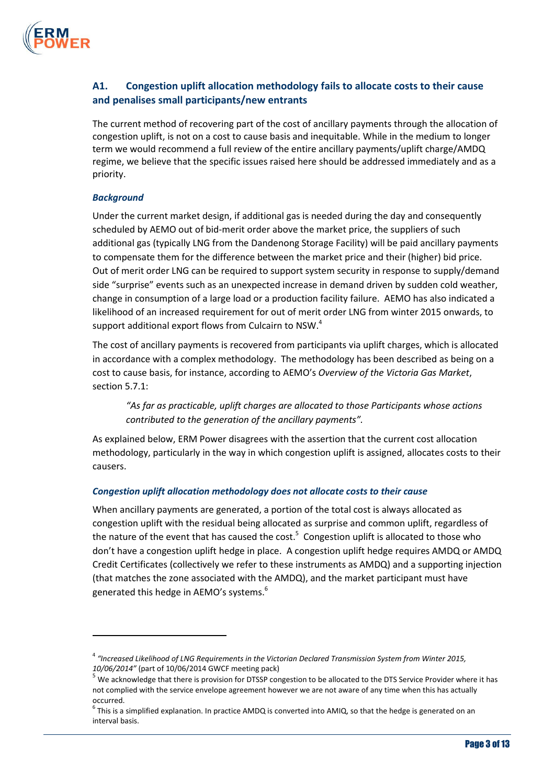

## **A1. Congestion uplift allocation methodology fails to allocate costs to their cause and penalises small participants/new entrants**

The current method of recovering part of the cost of ancillary payments through the allocation of congestion uplift, is not on a cost to cause basis and inequitable. While in the medium to longer term we would recommend a full review of the entire ancillary payments/uplift charge/AMDQ regime, we believe that the specific issues raised here should be addressed immediately and as a priority.

#### *Background*

 $\overline{a}$ 

Under the current market design, if additional gas is needed during the day and consequently scheduled by AEMO out of bid-merit order above the market price, the suppliers of such additional gas (typically LNG from the Dandenong Storage Facility) will be paid ancillary payments to compensate them for the difference between the market price and their (higher) bid price. Out of merit order LNG can be required to support system security in response to supply/demand side "surprise" events such as an unexpected increase in demand driven by sudden cold weather, change in consumption of a large load or a production facility failure. AEMO has also indicated a likelihood of an increased requirement for out of merit order LNG from winter 2015 onwards, to support additional export flows from Culcairn to NSW. $^4$ 

The cost of ancillary payments is recovered from participants via uplift charges, which is allocated in accordance with a complex methodology. The methodology has been described as being on a cost to cause basis, for instance, according to AEMO's *Overview of the Victoria Gas Market*, section 5.7.1:

*"As far as practicable, uplift charges are allocated to those Participants whose actions contributed to the generation of the ancillary payments".* 

As explained below, ERM Power disagrees with the assertion that the current cost allocation methodology, particularly in the way in which congestion uplift is assigned, allocates costs to their causers.

### *Congestion uplift allocation methodology does not allocate costs to their cause*

When ancillary payments are generated, a portion of the total cost is always allocated as congestion uplift with the residual being allocated as surprise and common uplift, regardless of the nature of the event that has caused the cost.<sup>5</sup> Congestion uplift is allocated to those who don't have a congestion uplift hedge in place. A congestion uplift hedge requires AMDQ or AMDQ Credit Certificates (collectively we refer to these instruments as AMDQ) and a supporting injection (that matches the zone associated with the AMDQ), and the market participant must have generated this hedge in AEMO's systems. 6

<sup>4</sup> *"Increased Likelihood of LNG Requirements in the Victorian Declared Transmission System from Winter 2015, 10/06/2014"* (part of 10/06/2014 GWCF meeting pack)

 $5$  We acknowledge that there is provision for DTSSP congestion to be allocated to the DTS Service Provider where it has not complied with the service envelope agreement however we are not aware of any time when this has actually occurred.

 $^6$  This is a simplified explanation. In practice AMDQ is converted into AMIQ, so that the hedge is generated on an interval basis.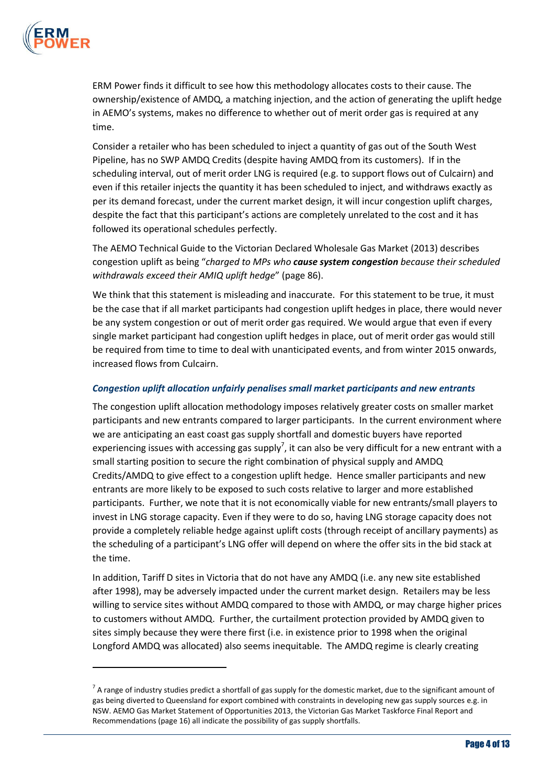

 $\overline{a}$ 

ERM Power finds it difficult to see how this methodology allocates costs to their cause. The ownership/existence of AMDQ, a matching injection, and the action of generating the uplift hedge in AEMO's systems, makes no difference to whether out of merit order gas is required at any time.

Consider a retailer who has been scheduled to inject a quantity of gas out of the South West Pipeline, has no SWP AMDQ Credits (despite having AMDQ from its customers). If in the scheduling interval, out of merit order LNG is required (e.g. to support flows out of Culcairn) and even if this retailer injects the quantity it has been scheduled to inject, and withdraws exactly as per its demand forecast, under the current market design, it will incur congestion uplift charges, despite the fact that this participant's actions are completely unrelated to the cost and it has followed its operational schedules perfectly.

The AEMO Technical Guide to the Victorian Declared Wholesale Gas Market (2013) describes congestion uplift as being "*charged to MPs who cause system congestion because their scheduled withdrawals exceed their AMIQ uplift hedge*" (page 86).

We think that this statement is misleading and inaccurate. For this statement to be true, it must be the case that if all market participants had congestion uplift hedges in place, there would never be any system congestion or out of merit order gas required. We would argue that even if every single market participant had congestion uplift hedges in place, out of merit order gas would still be required from time to time to deal with unanticipated events, and from winter 2015 onwards, increased flows from Culcairn.

#### *Congestion uplift allocation unfairly penalises small market participants and new entrants*

The congestion uplift allocation methodology imposes relatively greater costs on smaller market participants and new entrants compared to larger participants. In the current environment where we are anticipating an east coast gas supply shortfall and domestic buyers have reported experiencing issues with accessing gas supply<sup>7</sup>, it can also be very difficult for a new entrant with a small starting position to secure the right combination of physical supply and AMDQ Credits/AMDQ to give effect to a congestion uplift hedge. Hence smaller participants and new entrants are more likely to be exposed to such costs relative to larger and more established participants. Further, we note that it is not economically viable for new entrants/small players to invest in LNG storage capacity. Even if they were to do so, having LNG storage capacity does not provide a completely reliable hedge against uplift costs (through receipt of ancillary payments) as the scheduling of a participant's LNG offer will depend on where the offer sits in the bid stack at the time.

In addition, Tariff D sites in Victoria that do not have any AMDQ (i.e. any new site established after 1998), may be adversely impacted under the current market design. Retailers may be less willing to service sites without AMDQ compared to those with AMDQ, or may charge higher prices to customers without AMDQ. Further, the curtailment protection provided by AMDQ given to sites simply because they were there first (i.e. in existence prior to 1998 when the original Longford AMDQ was allocated) also seems inequitable. The AMDQ regime is clearly creating

 $^7$  A range of industry studies predict a shortfall of gas supply for the domestic market, due to the significant amount of gas being diverted to Queensland for export combined with constraints in developing new gas supply sources e.g. in NSW. AEMO Gas Market Statement of Opportunities 2013, the Victorian Gas Market Taskforce Final Report and Recommendations (page 16) all indicate the possibility of gas supply shortfalls.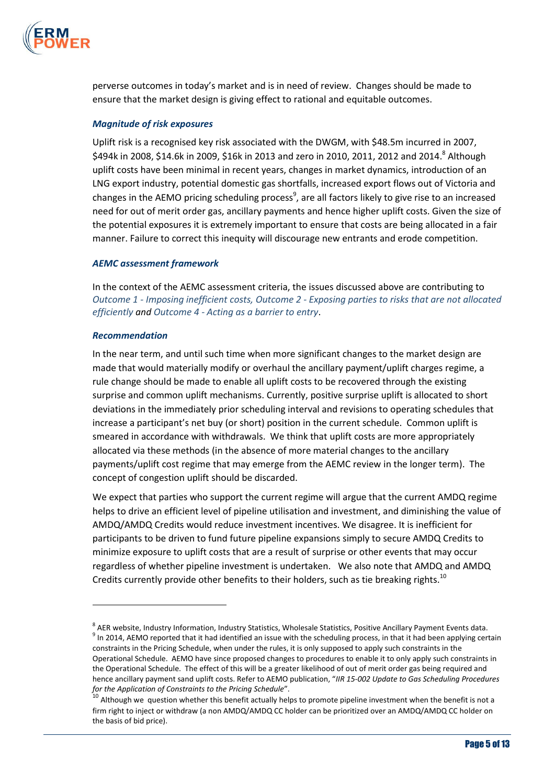

perverse outcomes in today's market and is in need of review. Changes should be made to ensure that the market design is giving effect to rational and equitable outcomes.

#### *Magnitude of risk exposures*

Uplift risk is a recognised key risk associated with the DWGM, with \$48.5m incurred in 2007, \$494k in 2008, \$14.6k in 2009, \$16k in 2013 and zero in 2010, 2011, 2012 and 2014.<sup>8</sup> Although uplift costs have been minimal in recent years, changes in market dynamics, introduction of an LNG export industry, potential domestic gas shortfalls, increased export flows out of Victoria and changes in the AEMO pricing scheduling process<sup>9</sup>, are all factors likely to give rise to an increased need for out of merit order gas, ancillary payments and hence higher uplift costs. Given the size of the potential exposures it is extremely important to ensure that costs are being allocated in a fair manner. Failure to correct this inequity will discourage new entrants and erode competition.

#### *AEMC assessment framework*

In the context of the AEMC assessment criteria, the issues discussed above are contributing to *Outcome 1 - Imposing inefficient costs, Outcome 2 - Exposing parties to risks that are not allocated efficiently and Outcome 4 - Acting as a barrier to entry*.

#### *Recommendation*

 $\overline{a}$ 

In the near term, and until such time when more significant changes to the market design are made that would materially modify or overhaul the ancillary payment/uplift charges regime, a rule change should be made to enable all uplift costs to be recovered through the existing surprise and common uplift mechanisms. Currently, positive surprise uplift is allocated to short deviations in the immediately prior scheduling interval and revisions to operating schedules that increase a participant's net buy (or short) position in the current schedule. Common uplift is smeared in accordance with withdrawals. We think that uplift costs are more appropriately allocated via these methods (in the absence of more material changes to the ancillary payments/uplift cost regime that may emerge from the AEMC review in the longer term). The concept of congestion uplift should be discarded.

We expect that parties who support the current regime will argue that the current AMDQ regime helps to drive an efficient level of pipeline utilisation and investment, and diminishing the value of AMDQ/AMDQ Credits would reduce investment incentives. We disagree. It is inefficient for participants to be driven to fund future pipeline expansions simply to secure AMDQ Credits to minimize exposure to uplift costs that are a result of surprise or other events that may occur regardless of whether pipeline investment is undertaken. We also note that AMDQ and AMDQ Credits currently provide other benefits to their holders, such as tie breaking rights.<sup>10</sup>

<sup>&</sup>lt;sup>8</sup> AER website, Industry Information, Industry Statistics, Wholesale Statistics, Positive Ancillary Payment Events data.  $^9$  In 2014, AEMO reported that it had identified an issue with the scheduling process, in that it had been applying certain constraints in the Pricing Schedule, when under the rules, it is only supposed to apply such constraints in the Operational Schedule. AEMO have since proposed changes to procedures to enable it to only apply such constraints in the Operational Schedule. The effect of this will be a greater likelihood of out of merit order gas being required and hence ancillary payment sand uplift costs. Refer to AEMO publication, "*IIR 15-002 Update to Gas Scheduling Procedures for the Application of Constraints to the Pricing Schedule*".

 $10<sup>10</sup>$  Although we question whether this benefit actually helps to promote pipeline investment when the benefit is not a firm right to inject or withdraw (a non AMDQ/AMDQ CC holder can be prioritized over an AMDQ/AMDQ CC holder on the basis of bid price).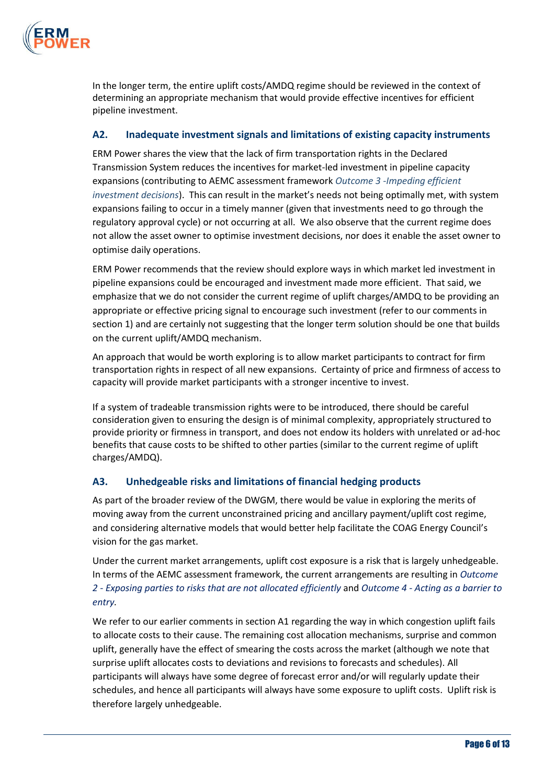

In the longer term, the entire uplift costs/AMDQ regime should be reviewed in the context of determining an appropriate mechanism that would provide effective incentives for efficient pipeline investment.

### **A2. Inadequate investment signals and limitations of existing capacity instruments**

ERM Power shares the view that the lack of firm transportation rights in the Declared Transmission System reduces the incentives for market-led investment in pipeline capacity expansions (contributing to AEMC assessment framework *Outcome 3 -Impeding efficient investment decisions*). This can result in the market's needs not being optimally met, with system expansions failing to occur in a timely manner (given that investments need to go through the regulatory approval cycle) or not occurring at all. We also observe that the current regime does not allow the asset owner to optimise investment decisions, nor does it enable the asset owner to optimise daily operations.

ERM Power recommends that the review should explore ways in which market led investment in pipeline expansions could be encouraged and investment made more efficient. That said, we emphasize that we do not consider the current regime of uplift charges/AMDQ to be providing an appropriate or effective pricing signal to encourage such investment (refer to our comments in section 1) and are certainly not suggesting that the longer term solution should be one that builds on the current uplift/AMDQ mechanism.

An approach that would be worth exploring is to allow market participants to contract for firm transportation rights in respect of all new expansions. Certainty of price and firmness of access to capacity will provide market participants with a stronger incentive to invest.

If a system of tradeable transmission rights were to be introduced, there should be careful consideration given to ensuring the design is of minimal complexity, appropriately structured to provide priority or firmness in transport, and does not endow its holders with unrelated or ad-hoc benefits that cause costs to be shifted to other parties (similar to the current regime of uplift charges/AMDQ).

### **A3. Unhedgeable risks and limitations of financial hedging products**

As part of the broader review of the DWGM, there would be value in exploring the merits of moving away from the current unconstrained pricing and ancillary payment/uplift cost regime, and considering alternative models that would better help facilitate the COAG Energy Council's vision for the gas market.

Under the current market arrangements, uplift cost exposure is a risk that is largely unhedgeable. In terms of the AEMC assessment framework, the current arrangements are resulting in *Outcome 2 - Exposing parties to risks that are not allocated efficiently* and *Outcome 4 - Acting as a barrier to entry.* 

We refer to our earlier comments in section A1 regarding the way in which congestion uplift fails to allocate costs to their cause. The remaining cost allocation mechanisms, surprise and common uplift, generally have the effect of smearing the costs across the market (although we note that surprise uplift allocates costs to deviations and revisions to forecasts and schedules). All participants will always have some degree of forecast error and/or will regularly update their schedules, and hence all participants will always have some exposure to uplift costs. Uplift risk is therefore largely unhedgeable.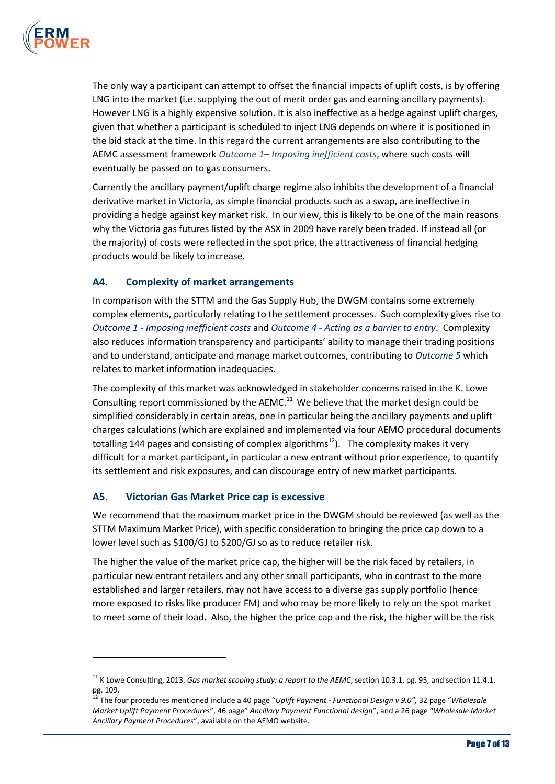

The only way a participant can attempt to offset the financial impacts of uplift costs, is by offering LNG into the market (i.e. supplying the out of merit order gas and earning ancillary payments). However LNG is a highly expensive solution. It is also ineffective as a hedge against uplift charges, given that whether a participant is scheduled to inject LNG depends on where it is positioned in the bid stack at the time. In this regard the current arrangements are also contributing to the AEMC assessment framework *Outcome 1– Imposing inefficient costs*, where such costs will eventually be passed on to gas consumers.

Currently the ancillary payment/uplift charge regime also inhibits the development of a financial derivative market in Victoria, as simple financial products such as a swap, are ineffective in providing a hedge against key market risk. In our view, this is likely to be one of the main reasons why the Victoria gas futures listed by the ASX in 2009 have rarely been traded. If instead all (or the majority) of costs were reflected in the spot price, the attractiveness of financial hedging products would be likely to increase.

## **A4. Complexity of market arrangements**

In comparison with the STTM and the Gas Supply Hub, the DWGM contains some extremely complex elements, particularly relating to the settlement processes. Such complexity gives rise to *Outcome 1 - Imposing inefficient costs* and *Outcome 4 - Acting as a barrier to entry*. Complexity also reduces information transparency and participants' ability to manage their trading positions and to understand, anticipate and manage market outcomes, contributing to *Outcome 5* which relates to market information inadequacies.

The complexity of this market was acknowledged in stakeholder concerns raised in the K. Lowe Consulting report commissioned by the AEMC.<sup>11</sup> We believe that the market design could be simplified considerably in certain areas, one in particular being the ancillary payments and uplift charges calculations (which are explained and implemented via four AEMO procedural documents totalling 144 pages and consisting of complex algorithms<sup>12</sup>). The complexity makes it very difficult for a market participant, in particular a new entrant without prior experience, to quantify its settlement and risk exposures, and can discourage entry of new market participants.

### **A5. Victorian Gas Market Price cap is excessive**

 $\overline{a}$ 

We recommend that the maximum market price in the DWGM should be reviewed (as well as the STTM Maximum Market Price), with specific consideration to bringing the price cap down to a lower level such as \$100/GJ to \$200/GJ so as to reduce retailer risk.

The higher the value of the market price cap, the higher will be the risk faced by retailers, in particular new entrant retailers and any other small participants, who in contrast to the more established and larger retailers, may not have access to a diverse gas supply portfolio (hence more exposed to risks like producer FM) and who may be more likely to rely on the spot market to meet some of their load. Also, the higher the price cap and the risk, the higher will be the risk

<sup>&</sup>lt;sup>11</sup> K Lowe Consulting, 2013, *Gas market scoping study: a report to the AEMC*, section 10.3.1, pg. 95, and section 11.4.1, pg. 109.

<sup>12</sup> The four procedures mentioned include a 40 page "*Uplift Payment - Functional Design v 9.0",* 32 page "*Wholesale Market Uplift Payment Procedures*", 46 page" *Ancillary Payment Functional design*", and a 26 page "*Wholesale Market Ancillary Payment Procedures*", available on the AEMO website.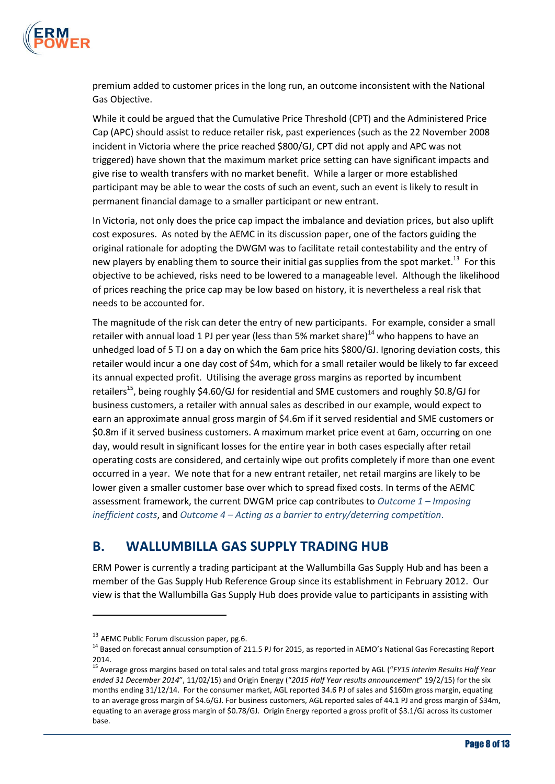

premium added to customer prices in the long run, an outcome inconsistent with the National Gas Objective.

While it could be argued that the Cumulative Price Threshold (CPT) and the Administered Price Cap (APC) should assist to reduce retailer risk, past experiences (such as the 22 November 2008 incident in Victoria where the price reached \$800/GJ, CPT did not apply and APC was not triggered) have shown that the maximum market price setting can have significant impacts and give rise to wealth transfers with no market benefit. While a larger or more established participant may be able to wear the costs of such an event, such an event is likely to result in permanent financial damage to a smaller participant or new entrant.

In Victoria, not only does the price cap impact the imbalance and deviation prices, but also uplift cost exposures. As noted by the AEMC in its discussion paper, one of the factors guiding the original rationale for adopting the DWGM was to facilitate retail contestability and the entry of new players by enabling them to source their initial gas supplies from the spot market.<sup>13</sup> For this objective to be achieved, risks need to be lowered to a manageable level. Although the likelihood of prices reaching the price cap may be low based on history, it is nevertheless a real risk that needs to be accounted for.

The magnitude of the risk can deter the entry of new participants. For example, consider a small retailer with annual load 1 PJ per year (less than 5% market share) $^{14}$  who happens to have an unhedged load of 5 TJ on a day on which the 6am price hits \$800/GJ. Ignoring deviation costs, this retailer would incur a one day cost of \$4m, which for a small retailer would be likely to far exceed its annual expected profit. Utilising the average gross margins as reported by incumbent retailers<sup>15</sup>, being roughly \$4.60/GJ for residential and SME customers and roughly \$0.8/GJ for business customers, a retailer with annual sales as described in our example, would expect to earn an approximate annual gross margin of \$4.6m if it served residential and SME customers or \$0.8m if it served business customers. A maximum market price event at 6am, occurring on one day, would result in significant losses for the entire year in both cases especially after retail operating costs are considered, and certainly wipe out profits completely if more than one event occurred in a year. We note that for a new entrant retailer, net retail margins are likely to be lower given a smaller customer base over which to spread fixed costs. In terms of the AEMC assessment framework, the current DWGM price cap contributes to *Outcome 1 – Imposing inefficient costs*, and *Outcome 4 – Acting as a barrier to entry/deterring competition*.

## **B. WALLUMBILLA GAS SUPPLY TRADING HUB**

ERM Power is currently a trading participant at the Wallumbilla Gas Supply Hub and has been a member of the Gas Supply Hub Reference Group since its establishment in February 2012. Our view is that the Wallumbilla Gas Supply Hub does provide value to participants in assisting with

 $\overline{a}$ 

<sup>&</sup>lt;sup>13</sup> AEMC Public Forum discussion paper, pg.6.

<sup>&</sup>lt;sup>14</sup> Based on forecast annual consumption of 211.5 PJ for 2015, as reported in AEMO's National Gas Forecasting Report 2014.

<sup>15</sup> Average gross margins based on total sales and total gross margins reported by AGL ("*FY15 Interim Results Half Year ended 31 December 2014*", 11/02/15) and Origin Energy ("*2015 Half Year results announcement*" 19/2/15) for the six months ending 31/12/14. For the consumer market, AGL reported 34.6 PJ of sales and \$160m gross margin, equating to an average gross margin of \$4.6/GJ. For business customers, AGL reported sales of 44.1 PJ and gross margin of \$34m, equating to an average gross margin of \$0.78/GJ. Origin Energy reported a gross profit of \$3.1/GJ across its customer base.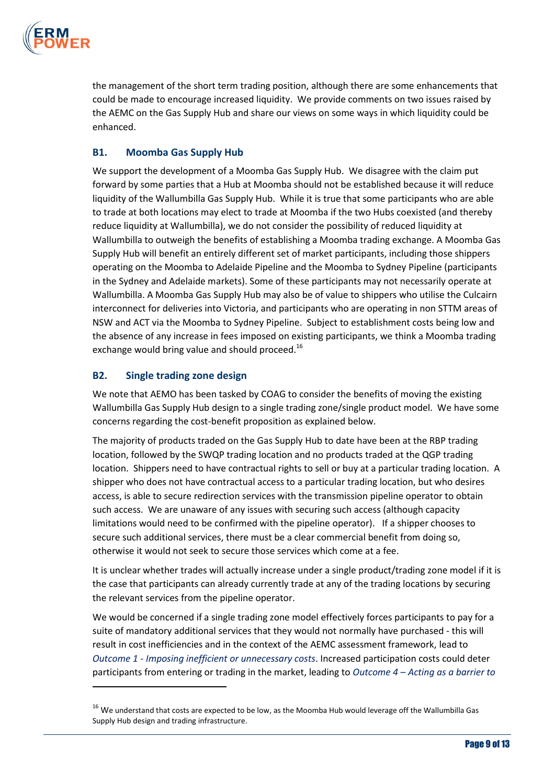

the management of the short term trading position, although there are some enhancements that could be made to encourage increased liquidity. We provide comments on two issues raised by the AEMC on the Gas Supply Hub and share our views on some ways in which liquidity could be enhanced.

## **B1. Moomba Gas Supply Hub**

We support the development of a Moomba Gas Supply Hub. We disagree with the claim put forward by some parties that a Hub at Moomba should not be established because it will reduce liquidity of the Wallumbilla Gas Supply Hub. While it is true that some participants who are able to trade at both locations may elect to trade at Moomba if the two Hubs coexisted (and thereby reduce liquidity at Wallumbilla), we do not consider the possibility of reduced liquidity at Wallumbilla to outweigh the benefits of establishing a Moomba trading exchange. A Moomba Gas Supply Hub will benefit an entirely different set of market participants, including those shippers operating on the Moomba to Adelaide Pipeline and the Moomba to Sydney Pipeline (participants in the Sydney and Adelaide markets). Some of these participants may not necessarily operate at Wallumbilla. A Moomba Gas Supply Hub may also be of value to shippers who utilise the Culcairn interconnect for deliveries into Victoria, and participants who are operating in non STTM areas of NSW and ACT via the Moomba to Sydney Pipeline. Subject to establishment costs being low and the absence of any increase in fees imposed on existing participants, we think a Moomba trading exchange would bring value and should proceed.<sup>16</sup>

### **B2. Single trading zone design**

 $\overline{a}$ 

We note that AEMO has been tasked by COAG to consider the benefits of moving the existing Wallumbilla Gas Supply Hub design to a single trading zone/single product model. We have some concerns regarding the cost-benefit proposition as explained below.

The majority of products traded on the Gas Supply Hub to date have been at the RBP trading location, followed by the SWQP trading location and no products traded at the QGP trading location. Shippers need to have contractual rights to sell or buy at a particular trading location. A shipper who does not have contractual access to a particular trading location, but who desires access, is able to secure redirection services with the transmission pipeline operator to obtain such access. We are unaware of any issues with securing such access (although capacity limitations would need to be confirmed with the pipeline operator). If a shipper chooses to secure such additional services, there must be a clear commercial benefit from doing so, otherwise it would not seek to secure those services which come at a fee.

It is unclear whether trades will actually increase under a single product/trading zone model if it is the case that participants can already currently trade at any of the trading locations by securing the relevant services from the pipeline operator.

We would be concerned if a single trading zone model effectively forces participants to pay for a suite of mandatory additional services that they would not normally have purchased - this will result in cost inefficiencies and in the context of the AEMC assessment framework, lead to *Outcome 1 - Imposing inefficient or unnecessary costs*. Increased participation costs could deter participants from entering or trading in the market, leading to *Outcome 4 – Acting as a barrier to* 

 $16$  We understand that costs are expected to be low, as the Moomba Hub would leverage off the Wallumbilla Gas Supply Hub design and trading infrastructure.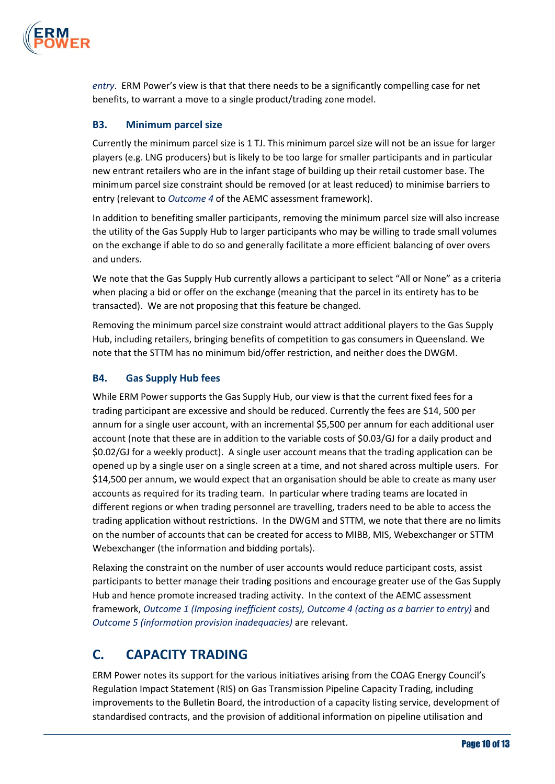

*entry*. ERM Power's view is that that there needs to be a significantly compelling case for net benefits, to warrant a move to a single product/trading zone model.

## **B3. Minimum parcel size**

Currently the minimum parcel size is 1 TJ. This minimum parcel size will not be an issue for larger players (e.g. LNG producers) but is likely to be too large for smaller participants and in particular new entrant retailers who are in the infant stage of building up their retail customer base. The minimum parcel size constraint should be removed (or at least reduced) to minimise barriers to entry (relevant to *Outcome 4* of the AEMC assessment framework).

In addition to benefiting smaller participants, removing the minimum parcel size will also increase the utility of the Gas Supply Hub to larger participants who may be willing to trade small volumes on the exchange if able to do so and generally facilitate a more efficient balancing of over overs and unders.

We note that the Gas Supply Hub currently allows a participant to select "All or None" as a criteria when placing a bid or offer on the exchange (meaning that the parcel in its entirety has to be transacted). We are not proposing that this feature be changed.

Removing the minimum parcel size constraint would attract additional players to the Gas Supply Hub, including retailers, bringing benefits of competition to gas consumers in Queensland. We note that the STTM has no minimum bid/offer restriction, and neither does the DWGM.

### **B4. Gas Supply Hub fees**

While ERM Power supports the Gas Supply Hub, our view is that the current fixed fees for a trading participant are excessive and should be reduced. Currently the fees are \$14, 500 per annum for a single user account, with an incremental \$5,500 per annum for each additional user account (note that these are in addition to the variable costs of \$0.03/GJ for a daily product and \$0.02/GJ for a weekly product). A single user account means that the trading application can be opened up by a single user on a single screen at a time, and not shared across multiple users. For \$14,500 per annum, we would expect that an organisation should be able to create as many user accounts as required for its trading team. In particular where trading teams are located in different regions or when trading personnel are travelling, traders need to be able to access the trading application without restrictions. In the DWGM and STTM, we note that there are no limits on the number of accounts that can be created for access to MIBB, MIS, Webexchanger or STTM Webexchanger (the information and bidding portals).

Relaxing the constraint on the number of user accounts would reduce participant costs, assist participants to better manage their trading positions and encourage greater use of the Gas Supply Hub and hence promote increased trading activity. In the context of the AEMC assessment framework, *Outcome 1 (Imposing inefficient costs), Outcome 4 (acting as a barrier to entry)* and *Outcome 5 (information provision inadequacies)* are relevant.

## **C. CAPACITY TRADING**

ERM Power notes its support for the various initiatives arising from the COAG Energy Council's Regulation Impact Statement (RIS) on Gas Transmission Pipeline Capacity Trading, including improvements to the Bulletin Board, the introduction of a capacity listing service, development of standardised contracts, and the provision of additional information on pipeline utilisation and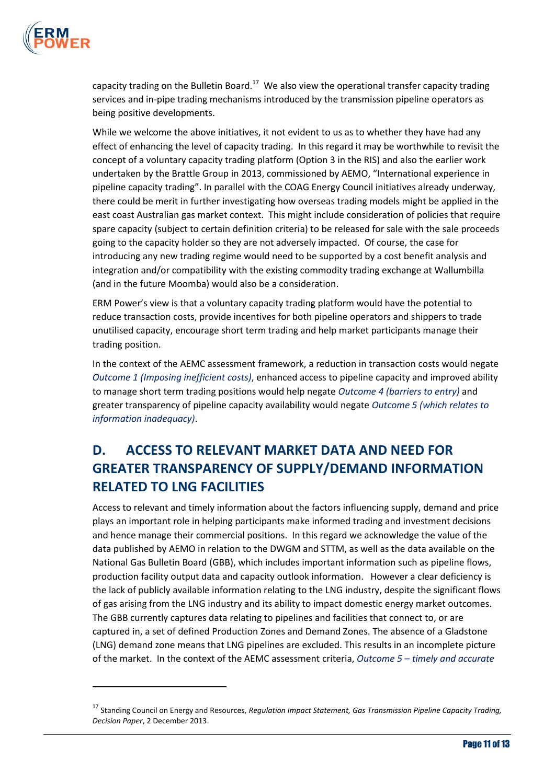

 $\overline{a}$ 

capacity trading on the Bulletin Board.<sup>17</sup> We also view the operational transfer capacity trading services and in-pipe trading mechanisms introduced by the transmission pipeline operators as being positive developments.

While we welcome the above initiatives, it not evident to us as to whether they have had any effect of enhancing the level of capacity trading. In this regard it may be worthwhile to revisit the concept of a voluntary capacity trading platform (Option 3 in the RIS) and also the earlier work undertaken by the Brattle Group in 2013, commissioned by AEMO, "International experience in pipeline capacity trading". In parallel with the COAG Energy Council initiatives already underway, there could be merit in further investigating how overseas trading models might be applied in the east coast Australian gas market context. This might include consideration of policies that require spare capacity (subject to certain definition criteria) to be released for sale with the sale proceeds going to the capacity holder so they are not adversely impacted. Of course, the case for introducing any new trading regime would need to be supported by a cost benefit analysis and integration and/or compatibility with the existing commodity trading exchange at Wallumbilla (and in the future Moomba) would also be a consideration.

ERM Power's view is that a voluntary capacity trading platform would have the potential to reduce transaction costs, provide incentives for both pipeline operators and shippers to trade unutilised capacity, encourage short term trading and help market participants manage their trading position.

In the context of the AEMC assessment framework, a reduction in transaction costs would negate *Outcome 1 (Imposing inefficient costs)*, enhanced access to pipeline capacity and improved ability to manage short term trading positions would help negate *Outcome 4 (barriers to entry)* and greater transparency of pipeline capacity availability would negate *Outcome 5 (which relates to information inadequacy)*.

# **D. ACCESS TO RELEVANT MARKET DATA AND NEED FOR GREATER TRANSPARENCY OF SUPPLY/DEMAND INFORMATION RELATED TO LNG FACILITIES**

Access to relevant and timely information about the factors influencing supply, demand and price plays an important role in helping participants make informed trading and investment decisions and hence manage their commercial positions. In this regard we acknowledge the value of the data published by AEMO in relation to the DWGM and STTM, as well as the data available on the National Gas Bulletin Board (GBB), which includes important information such as pipeline flows, production facility output data and capacity outlook information. However a clear deficiency is the lack of publicly available information relating to the LNG industry, despite the significant flows of gas arising from the LNG industry and its ability to impact domestic energy market outcomes. The GBB currently captures data relating to pipelines and facilities that connect to, or are captured in, a set of defined Production Zones and Demand Zones. The absence of a Gladstone (LNG) demand zone means that LNG pipelines are excluded. This results in an incomplete picture of the market. In the context of the AEMC assessment criteria, *Outcome 5 – timely and accurate* 

<sup>17</sup> Standing Council on Energy and Resources, *Regulation Impact Statement, Gas Transmission Pipeline Capacity Trading, Decision Paper*, 2 December 2013.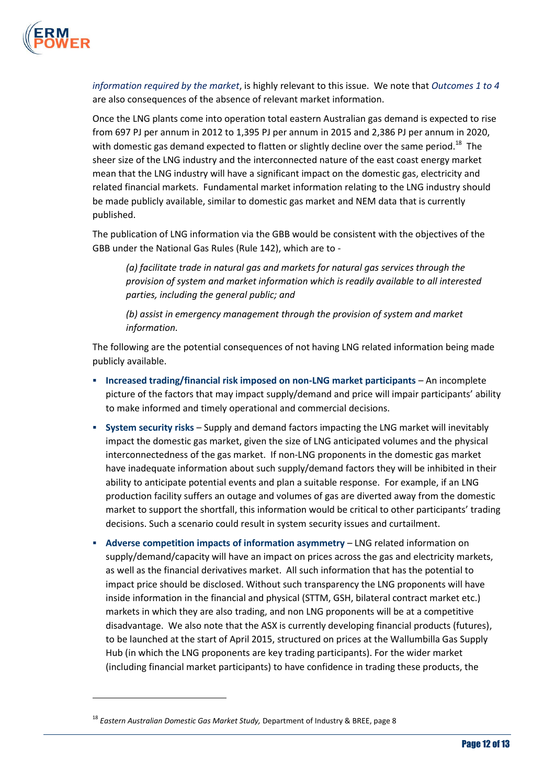

*information required by the market*, is highly relevant to this issue. We note that *Outcomes 1 to 4* are also consequences of the absence of relevant market information.

Once the LNG plants come into operation total eastern Australian gas demand is expected to rise from 697 PJ per annum in 2012 to 1,395 PJ per annum in 2015 and 2,386 PJ per annum in 2020, with domestic gas demand expected to flatten or slightly decline over the same period.<sup>18</sup> The sheer size of the LNG industry and the interconnected nature of the east coast energy market mean that the LNG industry will have a significant impact on the domestic gas, electricity and related financial markets. Fundamental market information relating to the LNG industry should be made publicly available, similar to domestic gas market and NEM data that is currently published.

The publication of LNG information via the GBB would be consistent with the objectives of the GBB under the National Gas Rules (Rule 142), which are to -

*(a) facilitate trade in natural gas and markets for natural gas services through the provision of system and market information which is readily available to all interested parties, including the general public; and* 

*(b) assist in emergency management through the provision of system and market information.* 

The following are the potential consequences of not having LNG related information being made publicly available.

- **Increased trading/financial risk imposed on non-LNG market participants An incomplete** picture of the factors that may impact supply/demand and price will impair participants' ability to make informed and timely operational and commercial decisions.
- **System security risks** Supply and demand factors impacting the LNG market will inevitably impact the domestic gas market, given the size of LNG anticipated volumes and the physical interconnectedness of the gas market. If non-LNG proponents in the domestic gas market have inadequate information about such supply/demand factors they will be inhibited in their ability to anticipate potential events and plan a suitable response. For example, if an LNG production facility suffers an outage and volumes of gas are diverted away from the domestic market to support the shortfall, this information would be critical to other participants' trading decisions. Such a scenario could result in system security issues and curtailment.
- **Adverse competition impacts of information asymmetry** LNG related information on supply/demand/capacity will have an impact on prices across the gas and electricity markets, as well as the financial derivatives market. All such information that has the potential to impact price should be disclosed. Without such transparency the LNG proponents will have inside information in the financial and physical (STTM, GSH, bilateral contract market etc.) markets in which they are also trading, and non LNG proponents will be at a competitive disadvantage. We also note that the ASX is currently developing financial products (futures), to be launched at the start of April 2015, structured on prices at the Wallumbilla Gas Supply Hub (in which the LNG proponents are key trading participants). For the wider market (including financial market participants) to have confidence in trading these products, the

 $\overline{a}$ 

<sup>18</sup> *Eastern Australian Domestic Gas Market Study,* Department of Industry & BREE, page 8